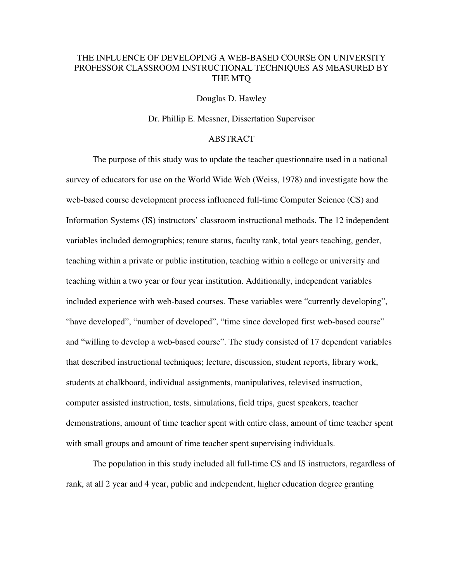## THE INFLUENCE OF DEVELOPING A WEB-BASED COURSE ON UNIVERSITY PROFESSOR CLASSROOM INSTRUCTIONAL TECHNIQUES AS MEASURED BY THE MTQ

Douglas D. Hawley

Dr. Phillip E. Messner, Dissertation Supervisor

## ABSTRACT

The purpose of this study was to update the teacher questionnaire used in a national survey of educators for use on the World Wide Web (Weiss, 1978) and investigate how the web-based course development process influenced full-time Computer Science (CS) and Information Systems (IS) instructors' classroom instructional methods. The 12 independent variables included demographics; tenure status, faculty rank, total years teaching, gender, teaching within a private or public institution, teaching within a college or university and teaching within a two year or four year institution. Additionally, independent variables included experience with web-based courses. These variables were "currently developing", "have developed", "number of developed", "time since developed first web-based course" and "willing to develop a web-based course". The study consisted of 17 dependent variables that described instructional techniques; lecture, discussion, student reports, library work, students at chalkboard, individual assignments, manipulatives, televised instruction, computer assisted instruction, tests, simulations, field trips, guest speakers, teacher demonstrations, amount of time teacher spent with entire class, amount of time teacher spent with small groups and amount of time teacher spent supervising individuals.

The population in this study included all full-time CS and IS instructors, regardless of rank, at all 2 year and 4 year, public and independent, higher education degree granting